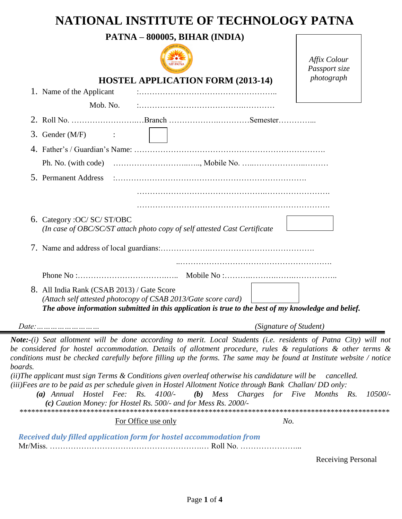## **NATIONAL INSTITUTE OF TECHNOLOGY PATNA**

|                                                                                                                                                                                                                                                                                                                                                                                                                                                                                                                                                                                                                                                                                             | PATNA - 800005, BIHAR (INDIA)            | Affix Colour<br>Passport size |
|---------------------------------------------------------------------------------------------------------------------------------------------------------------------------------------------------------------------------------------------------------------------------------------------------------------------------------------------------------------------------------------------------------------------------------------------------------------------------------------------------------------------------------------------------------------------------------------------------------------------------------------------------------------------------------------------|------------------------------------------|-------------------------------|
| 1. Name of the Applicant                                                                                                                                                                                                                                                                                                                                                                                                                                                                                                                                                                                                                                                                    | <b>HOSTEL APPLICATION FORM (2013-14)</b> | photograph                    |
| Mob. No.                                                                                                                                                                                                                                                                                                                                                                                                                                                                                                                                                                                                                                                                                    |                                          |                               |
|                                                                                                                                                                                                                                                                                                                                                                                                                                                                                                                                                                                                                                                                                             |                                          |                               |
| 3. Gender $(M/F)$<br>$\sim$ $\sim$ $\sim$ $\sim$ $\sim$                                                                                                                                                                                                                                                                                                                                                                                                                                                                                                                                                                                                                                     |                                          |                               |
|                                                                                                                                                                                                                                                                                                                                                                                                                                                                                                                                                                                                                                                                                             |                                          |                               |
|                                                                                                                                                                                                                                                                                                                                                                                                                                                                                                                                                                                                                                                                                             |                                          |                               |
| 5. Permanent Address                                                                                                                                                                                                                                                                                                                                                                                                                                                                                                                                                                                                                                                                        |                                          |                               |
|                                                                                                                                                                                                                                                                                                                                                                                                                                                                                                                                                                                                                                                                                             |                                          |                               |
| 6. Category : OC/ SC/ ST/OBC<br>(In case of OBC/SC/ST attach photo copy of self attested Cast Certificate                                                                                                                                                                                                                                                                                                                                                                                                                                                                                                                                                                                   |                                          |                               |
|                                                                                                                                                                                                                                                                                                                                                                                                                                                                                                                                                                                                                                                                                             |                                          |                               |
|                                                                                                                                                                                                                                                                                                                                                                                                                                                                                                                                                                                                                                                                                             |                                          |                               |
| 8. All India Rank (CSAB 2013) / Gate Score<br>(Attach self attested photocopy of CSAB 2013/Gate score card)<br>The above information submitted in this application is true to the best of my knowledge and belief.                                                                                                                                                                                                                                                                                                                                                                                                                                                                          |                                          |                               |
| <i>Date:</i>                                                                                                                                                                                                                                                                                                                                                                                                                                                                                                                                                                                                                                                                                |                                          | (Signature of Student)        |
| Note:-(i) Seat allotment will be done according to merit. Local Students (i.e. residents of Patna City) will not<br>be considered for hostel accommodation. Details of allotment procedure, rules & regulations & other terms &<br>conditions must be checked carefully before filling up the forms. The same may be found at Institute website / notice<br>boards.<br>(ii)The applicant must sign Terms & Conditions given overleaf otherwise his candidature will be<br>(iii)Fees are to be paid as per schedule given in Hostel Allotment Notice through Bank Challan/DD only:<br>$(a)$ Annual Hostel Fee: Rs. 4100/-<br>(c) Caution Money: for Hostel Rs. 500/- and for Mess Rs. 2000/- | (b) Mess Charges for Five Months Rs.     | cancelled.<br>10500/-         |
| For Office use only                                                                                                                                                                                                                                                                                                                                                                                                                                                                                                                                                                                                                                                                         |                                          | No.                           |
| Received duly filled application form for hostel accommodation from                                                                                                                                                                                                                                                                                                                                                                                                                                                                                                                                                                                                                         |                                          |                               |

Receiving Personal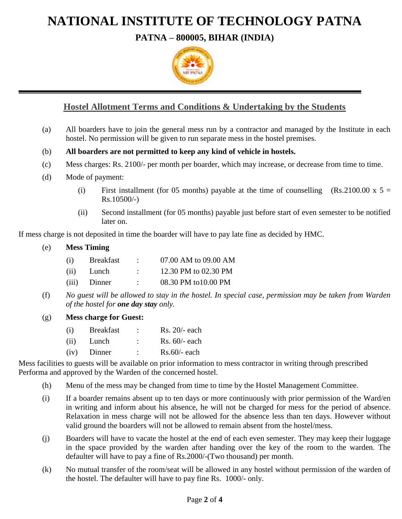# **NATIONAL INSTITUTE OF TECHNOLOGY PATNA**

**PATNA – 800005, BIHAR (INDIA)**



## **Hostel Allotment Terms and Conditions & Undertaking by the Students**

- (a) All boarders have to join the general mess run by a contractor and managed by the Institute in each hostel. No permission will be given to run separate mess in the hostel premises.
- (b) **All boarders are not permitted to keep any kind of vehicle in hostels.**
- (c) Mess charges: Rs. 2100/- per month per boarder, which may increase, or decrease from time to time.
- (d) Mode of payment:
	- (i) First installment (for 05 months) payable at the time of counselling  $(Rs.2100.00 \times 5 =$ Rs.10500/-)
	- (ii) Second installment (for 05 months) payable just before start of even semester to be notified later on.

If mess charge is not deposited in time the boarder will have to pay late fine as decided by HMC.

## (e) **Mess Timing**

| (i)  | <b>Breakfast</b> |                      | 07.00 AM to 09.00 AM |
|------|------------------|----------------------|----------------------|
| (ii) | Lunch            | $\ddot{\phantom{0}}$ | 12.30 PM to 02.30 PM |
|      | (iii) Dinner     | ٠.                   | 08.30 PM to 10.00 PM |

(f) *No guest will be allowed to stay in the hostel. In special case, permission may be taken from Warden of the hostel for one day stay only.*

## (g) **Mess charge for Guest:**

| (i)  | <b>Breakfast</b> |           | $Rs. 20/- each$ |
|------|------------------|-----------|-----------------|
| (ii) | Lunch            | $\bullet$ | $Rs. 60/- each$ |
|      | $(iv)$ Dinner    | ٠         | $Rs.60/-$ each  |

Mess facilities to guests will be available on prior information to mess contractor in writing through prescribed Performa and approved by the Warden of the concerned hostel.

- (h) Menu of the mess may be changed from time to time by the Hostel Management Committee.
- (i) If a boarder remains absent up to ten days or more continuously with prior permission of the Ward/en in writing and inform about his absence, he will not be charged for mess for the period of absence. Relaxation in mess charge will not be allowed for the absence less than ten days. However without valid ground the boarders will not be allowed to remain absent from the hostel/mess.
- (j) Boarders will have to vacate the hostel at the end of each even semester. They may keep their luggage in the space provided by the warden after handing over the key of the room to the warden. The defaulter will have to pay a fine of Rs.2000/-(Two thousand) per month.
- (k) No mutual transfer of the room/seat will be allowed in any hostel without permission of the warden of the hostel. The defaulter will have to pay fine Rs. 1000/- only.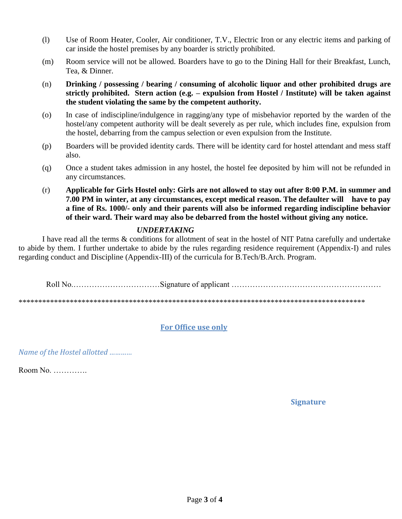- (l) Use of Room Heater, Cooler, Air conditioner, T.V., Electric Iron or any electric items and parking of car inside the hostel premises by any boarder is strictly prohibited.
- (m) Room service will not be allowed. Boarders have to go to the Dining Hall for their Breakfast, Lunch, Tea, & Dinner.
- (n) **Drinking / possessing / bearing / consuming of alcoholic liquor and other prohibited drugs are strictly prohibited. Stern action (e.g. – expulsion from Hostel / Institute) will be taken against the student violating the same by the competent authority.**
- (o) In case of indiscipline/indulgence in ragging/any type of misbehavior reported by the warden of the hostel/any competent authority will be dealt severely as per rule, which includes fine, expulsion from the hostel, debarring from the campus selection or even expulsion from the Institute.
- (p) Boarders will be provided identity cards. There will be identity card for hostel attendant and mess staff also.
- (q) Once a student takes admission in any hostel, the hostel fee deposited by him will not be refunded in any circumstances.
- (r) **Applicable for Girls Hostel only: Girls are not allowed to stay out after 8:00 P.M. in summer and 7.00 PM in winter, at any circumstances, except medical reason. The defaulter will have to pay a fine of Rs. 1000/- only and their parents will also be informed regarding indiscipline behavior of their ward. Their ward may also be debarred from the hostel without giving any notice.**

## *UNDERTAKING*

I have read all the terms & conditions for allotment of seat in the hostel of NIT Patna carefully and undertake to abide by them. I further undertake to abide by the rules regarding residence requirement (Appendix-I) and rules regarding conduct and Discipline (Appendix-III) of the curricula for B.Tech/B.Arch. Program.

Roll No.……………………………Signature of applicant …………………………………………………

\*\*\*\*\*\*\*\*\*\*\*\*\*\*\*\*\*\*\*\*\*\*\*\*\*\*\*\*\*\*\*\*\*\*\*\*\*\*\*\*\*\*\*\*\*\*\*\*\*\*\*\*\*\*\*\*\*\*\*\*\*\*\*\*\*\*\*\*\*\*\*\*\*\*\*\*\*\*\*\*\*\*\*\*\*\*\*\*

## **For Office use only**

*Name of the Hostel allotted …………*

Room No. ………….

 **Signature**